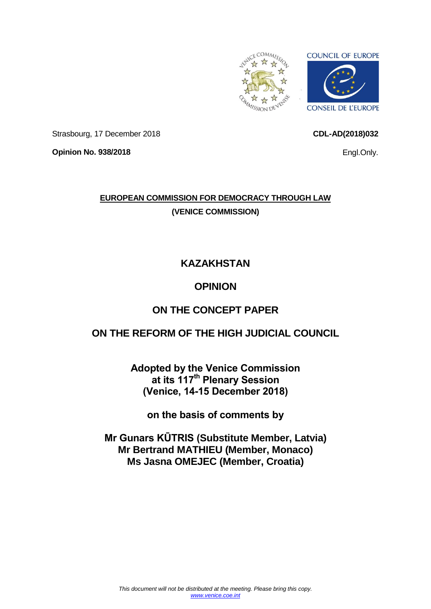<span id="page-0-0"></span>

**CDL-AD(2018)032**

Engl.Only.

Strasbourg, 17 December 2018

**Opinion No. 938/2018**

**EUROPEAN COMMISSION FOR DEMOCRACY THROUGH LAW (VENICE COMMISSION)**

# **KAZAKHSTAN**

# **OPINION**

# **ON THE CONCEPT PAPER**

# **ON THE REFORM OF THE HIGH JUDICIAL COUNCIL**

**Adopted by the Venice Commission at its 117th Plenary Session (Venice, 14-15 December 2018)**

**on the basis of comments by**

**Mr Gunars KŪTRIS (Substitute Member, Latvia) Mr Bertrand MATHIEU (Member, Monaco) Ms Jasna OMEJEC (Member, Croatia)**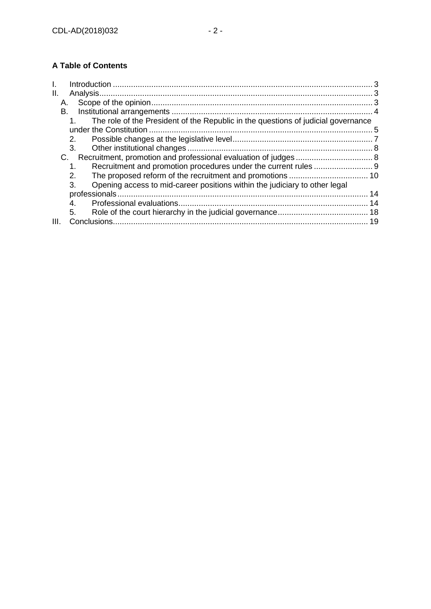# **A Table of Contents**

| Ш. |                                                                                   |    |
|----|-----------------------------------------------------------------------------------|----|
| Α. |                                                                                   |    |
| В. |                                                                                   |    |
|    | The role of the President of the Republic in the questions of judicial governance |    |
|    |                                                                                   |    |
|    | 2.                                                                                |    |
|    | 3.                                                                                |    |
| C. |                                                                                   |    |
|    | 1.                                                                                |    |
|    | 2.                                                                                |    |
|    | Opening access to mid-career positions within the judiciary to other legal<br>3.  |    |
|    |                                                                                   | 14 |
|    | 4.                                                                                |    |
|    | 5.                                                                                |    |
| Ш. |                                                                                   |    |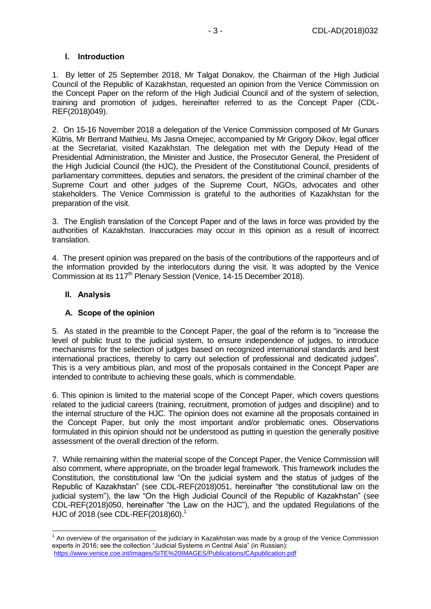#### <span id="page-2-0"></span>**I. Introduction**

1. By letter of 25 September 2018, Mr Talgat Donakov, the Chairman of the High Judicial Council of the Republic of Kazakhstan, requested an opinion from the Venice Commission on the Concept Paper on the reform of the High Judicial Council and of the system of selection, training and promotion of judges, hereinafter referred to as the Concept Paper (CDL-REF(2018)049).

2. On 15-16 November 2018 a delegation of the Venice Commission composed of Mr Gunars Kūtris, Mr Bertrand Mathieu, Ms Jasna Omejec, accompanied by Mr Grigory Dikov, legal officer at the Secretariat, visited Kazakhstan. The delegation met with the Deputy Head of the Presidential Administration, the Minister and Justice, the Prosecutor General, the President of the High Judicial Council (the HJC), the President of the Constitutional Council, presidents of parliamentary committees, deputies and senators, the president of the criminal chamber of the Supreme Court and other judges of the Supreme Court, NGOs, advocates and other stakeholders. The Venice Commission is grateful to the authorities of Kazakhstan for the preparation of the visit.

3. The English translation of the Concept Paper and of the laws in force was provided by the authorities of Kazakhstan. Inaccuracies may occur in this opinion as a result of incorrect translation.

4. The present opinion was prepared on the basis of the contributions of the rapporteurs and of the information provided by the interlocutors during the visit. It was adopted by the Venice Commission at its 117<sup>th</sup> Plenary Session (Venice, 14-15 December 2018).

## <span id="page-2-1"></span>**II. Analysis**

-

#### <span id="page-2-2"></span>**A. Scope of the opinion**

5. As stated in the preamble to the Concept Paper, the goal of the reform is to "increase the level of public trust to the judicial system, to ensure independence of judges, to introduce mechanisms for the selection of judges based on recognized international standards and best international practices, thereby to carry out selection of professional and dedicated judges". This is a very ambitious plan, and most of the proposals contained in the Concept Paper are intended to contribute to achieving these goals, which is commendable.

6. This opinion is limited to the material scope of the Concept Paper, which covers questions related to the judicial careers (training, recruitment, promotion of judges and discipline) and to the internal structure of the HJC. The opinion does not examine all the proposals contained in the Concept Paper, but only the most important and/or problematic ones. Observations formulated in this opinion should not be understood as putting in question the generally positive assessment of the overall direction of the reform.

7. While remaining within the material scope of the Concept Paper, the Venice Commission will also comment, where appropriate, on the broader legal framework. This framework includes the Constitution, the constitutional law "On the judicial system and the status of judges of the Republic of Kazakhstan" (see CDL-REF(2018)051, hereinafter "the constitutional law on the judicial system"), the law "On the High Judicial Council of the Republic of Kazakhstan" (see CDL-REF(2018)050, hereinafter "the Law on the HJC"), and the updated Regulations of the HJC of 2018 (see CDL-REF(2018)60). 1

 $1$  An overview of the organisation of the judiciary in Kazakhstan was made by a group of the Venice Commission experts in 2016; see the collection "Judicial Systems in Central Asia" (in Russian): <https://www.venice.coe.int/images/SITE%20IMAGES/Publications/CApublication.pdf>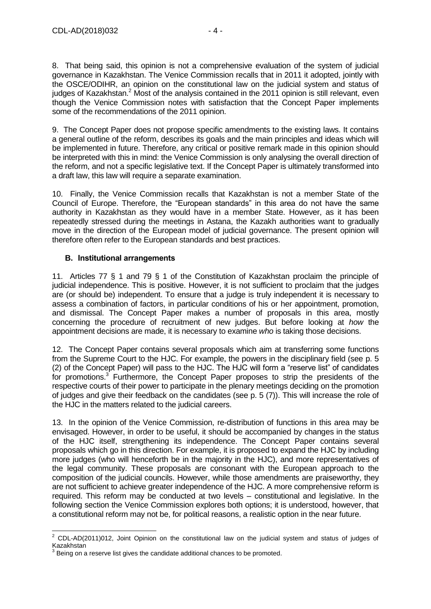8. That being said, this opinion is not a comprehensive evaluation of the system of judicial governance in Kazakhstan. The Venice Commission recalls that in 2011 it adopted, jointly with the OSCE/ODIHR, an opinion on the constitutional law on the judicial system and status of judges of Kazakhstan.<sup>2</sup> Most of the analysis contained in the 2011 opinion is still relevant, even though the Venice Commission notes with satisfaction that the Concept Paper implements some of the recommendations of the 2011 opinion.

9. The Concept Paper does not propose specific amendments to the existing laws. It contains a general outline of the reform, describes its goals and the main principles and ideas which will be implemented in future. Therefore, any critical or positive remark made in this opinion should be interpreted with this in mind: the Venice Commission is only analysing the overall direction of the reform, and not a specific legislative text. If the Concept Paper is ultimately transformed into a draft law, this law will require a separate examination.

10. Finally, the Venice Commission recalls that Kazakhstan is not a member State of the Council of Europe. Therefore, the "European standards" in this area do not have the same authority in Kazakhstan as they would have in a member State. However, as it has been repeatedly stressed during the meetings in Astana, the Kazakh authorities want to gradually move in the direction of the European model of judicial governance. The present opinion will therefore often refer to the European standards and best practices.

#### <span id="page-3-0"></span>**B. Institutional arrangements**

11. Articles 77 § 1 and 79 § 1 of the Constitution of Kazakhstan proclaim the principle of judicial independence. This is positive. However, it is not sufficient to proclaim that the judges are (or should be) independent. To ensure that a judge is truly independent it is necessary to assess a combination of factors, in particular conditions of his or her appointment, promotion, and dismissal. The Concept Paper makes a number of proposals in this area, mostly concerning the procedure of recruitment of new judges. But before looking at *how* the appointment decisions are made, it is necessary to examine *who* is taking those decisions.

12. The Concept Paper contains several proposals which aim at transferring some functions from the Supreme Court to the HJC. For example, the powers in the disciplinary field (see p. 5 (2) of the Concept Paper) will pass to the HJC. The HJC will form a "reserve list" of candidates for promotions.<sup>3</sup> Furthermore, the Concept Paper proposes to strip the presidents of the respective courts of their power to participate in the plenary meetings deciding on the promotion of judges and give their feedback on the candidates (see p. 5 (7)). This will increase the role of the HJC in the matters related to the judicial careers.

13. In the opinion of the Venice Commission, re-distribution of functions in this area may be envisaged. However, in order to be useful, it should be accompanied by changes in the status of the HJC itself, strengthening its independence. The Concept Paper contains several proposals which go in this direction. For example, it is proposed to expand the HJC by including more judges (who will henceforth be in the majority in the HJC), and more representatives of the legal community. These proposals are consonant with the European approach to the composition of the judicial councils. However, while those amendments are praiseworthy, they are not sufficient to achieve greater independence of the HJC. A more comprehensive reform is required. This reform may be conducted at two levels – constitutional and legislative. In the following section the Venice Commission explores both options; it is understood, however, that a constitutional reform may not be, for political reasons, a realistic option in the near future.

<sup>-</sup> $2$  CDL-AD(2011)012, Joint Opinion on the constitutional law on the judicial system and status of judges of Kazakhstan

<sup>3</sup> Being on a reserve list gives the candidate additional chances to be promoted.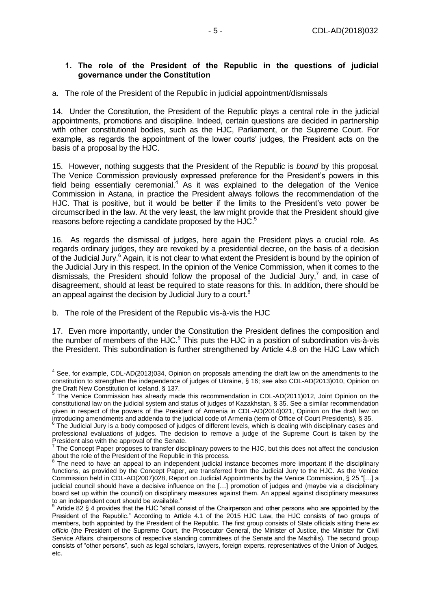#### <span id="page-4-0"></span>**1. The role of the President of the Republic in the questions of judicial governance under the Constitution**

a. The role of the President of the Republic in judicial appointment/dismissals

14. Under the Constitution, the President of the Republic plays a central role in the judicial appointments, promotions and discipline. Indeed, certain questions are decided in partnership with other constitutional bodies, such as the HJC, Parliament, or the Supreme Court. For example, as regards the appointment of the lower courts' judges, the President acts on the basis of a proposal by the HJC.

15. However, nothing suggests that the President of the Republic is *bound* by this proposal. The Venice Commission previously expressed preference for the President's powers in this field being essentially ceremonial.<sup>4</sup> As it was explained to the delegation of the Venice Commission in Astana, in practice the President always follows the recommendation of the HJC. That is positive, but it would be better if the limits to the President's veto power be circumscribed in the law. At the very least, the law might provide that the President should give reasons before rejecting a candidate proposed by the HJC.<sup>5</sup>

16. As regards the dismissal of judges, here again the President plays a crucial role. As regards ordinary judges, they are revoked by a presidential decree, on the basis of a decision of the Judicial Jury.<sup>6</sup> Again, it is not clear to what extent the President is bound by the opinion of the Judicial Jury in this respect. In the opinion of the Venice Commission, when it comes to the dismissals, the President should follow the proposal of the Judicial Jury,<sup>7</sup> and, in case of disagreement, should at least be required to state reasons for this. In addition, there should be an appeal against the decision by Judicial Jury to a court. $8$ 

b. The role of the President of the Republic vis-à-vis the HJC

17. Even more importantly, under the Constitution the President defines the composition and the number of members of the HJC. $9$  This puts the HJC in a position of subordination vis-à-vis the President. This subordination is further strengthened by Article 4.8 on the HJC Law which

<sup>————————————————————&</sup>lt;br><sup>4</sup> See, for example, CDL-AD(2013)034, Opinion on proposals amending the draft law on the amendments to the constitution to strengthen the independence of judges of Ukraine, § 16; see also CDL-AD(2013)010, Opinion on the Draft New Constitution of Iceland, § 137.<br><sup>5</sup> The Venice Commission has already may

The Venice Commission has already made this recommendation in CDL-AD(2011)012, Joint Opinion on the constitutional law on the judicial system and status of judges of Kazakhstan, § 35. See a similar recommendation given in respect of the powers of the President of Armenia in CDL-AD(2014)021, Opinion on the draft law on

introducing amendments and addenda to the judicial code of Armenia (term of Office of Court Presidents), § 35.<br><sup>6</sup> The Judicial Jury is a body composed of judges of different levels, which is dealing with disciplinary case professional evaluations of judges. The decision to remove a judge of the Supreme Court is taken by the President also with the approval of the Senate.

 $<sup>7</sup>$  The Concept Paper proposes to transfer disciplinary powers to the HJC, but this does not affect the conclusion</sup> about the role of the President of the Republic in this process.

<sup>8</sup> The need to have an appeal to an independent judicial instance becomes more important if the disciplinary functions, as provided by the Concept Paper, are transferred from the Judicial Jury to the HJC. As the Venice Commission held in CDL-AD(2007)028, Report on Judicial Appointments by the Venice Commission, § 25 "[…] a judicial council should have a decisive influence on the [...] promotion of judges and (maybe via a disciplinary board set up within the council) on disciplinary measures against them. An appeal against disciplinary measures to an independent court should be available."<br><sup>9</sup> Article 82.8 4 provides that the HJC "sholl as

Article 82 § 4 provides that the HJC "shall consist of the Chairperson and other persons who are appointed by the President of the Republic." According to Article 4.1 of the 2015 HJC Law, the HJC consists of two groups of members, both appointed by the President of the Republic. The first group consists of State officials sitting there *ex officio* (the President of the Supreme Court, the Prosecutor General, the Minister of Justice, the Minister for Civil Service Affairs, chairpersons of respective standing committees of the Senate and the Mazhilis). The second group consists of "other persons", such as legal scholars, lawyers, foreign experts, representatives of the Union of Judges, etc.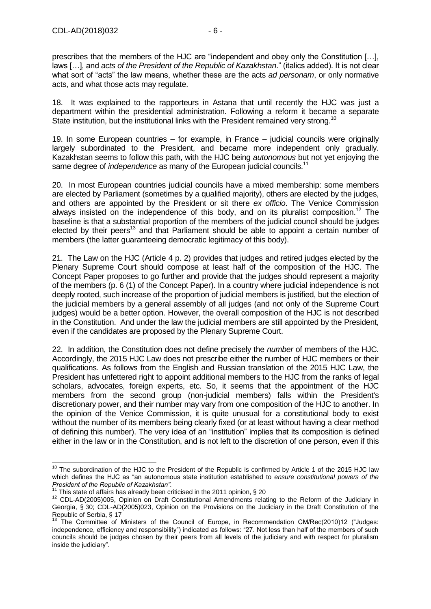prescribes that the members of the HJC are "independent and obey only the Constitution […], laws […], and *acts of the President of the Republic of Kazakhstan*." (italics added). It is not clear what sort of "acts" the law means, whether these are the acts *ad personam*, or only normative acts, and what those acts may regulate.

18. It was explained to the rapporteurs in Astana that until recently the HJC was just a department within the presidential administration. Following a reform it became a separate State institution, but the institutional links with the President remained very strong.<sup>10</sup>

19. In some European countries – for example, in France – judicial councils were originally largely subordinated to the President, and became more independent only gradually. Kazakhstan seems to follow this path, with the HJC being *autonomous* but not yet enjoying the same degree of *independence* as many of the European judicial councils.<sup>11</sup>

20. In most European countries judicial councils have a mixed membership: some members are elected by Parliament (sometimes by a qualified majority), others are elected by the judges, and others are appointed by the President or sit there *ex officio*. The Venice Commission always insisted on the independence of this body, and on its pluralist composition.<sup>12</sup> The baseline is that a substantial proportion of the members of the judicial council should be judges elected by their peers<sup>13</sup> and that Parliament should be able to appoint a certain number of members (the latter guaranteeing democratic legitimacy of this body).

21. The Law on the HJC (Article 4 p. 2) provides that judges and retired judges elected by the Plenary Supreme Court should compose at least half of the composition of the HJC. The Concept Paper proposes to go further and provide that the judges should represent a majority of the members (p. 6 (1) of the Concept Paper). In a country where judicial independence is not deeply rooted, such increase of the proportion of judicial members is justified, but the election of the judicial members by a general assembly of all judges (and not only of the Supreme Court judges) would be a better option. However, the overall composition of the HJC is not described in the Constitution. And under the law the judicial members are still appointed by the President, even if the candidates are proposed by the Plenary Supreme Court.

22. In addition, the Constitution does not define precisely the *number* of members of the HJC. Accordingly, the 2015 HJC Law does not prescribe either the number of HJC members or their qualifications. As follows from the English and Russian translation of the 2015 HJC Law, the President has unfettered right to appoint additional members to the HJC from the ranks of legal scholars, advocates, foreign experts, etc. So, it seems that the appointment of the HJC members from the second group (non-judicial members) falls within the President's discretionary power, and their number may vary from one composition of the HJC to another. In the opinion of the Venice Commission, it is quite unusual for a constitutional body to exist without the number of its members being clearly fixed (or at least without having a clear method of defining this number). The very idea of an "institution" implies that its composition is defined either in the law or in the Constitution, and is not left to the discretion of one person, even if this

<sup>-</sup> $10$  The subordination of the HJC to the President of the Republic is confirmed by Article 1 of the 2015 HJC law which defines the HJC as "an autonomous state institution established to *ensure constitutional powers of the President of the Republic of Kazakhstan".*

 $11$ <sup>11</sup> This state of affairs has already been criticised in the 2011 opinion, § 20

<sup>&</sup>lt;sup>12</sup> CDL-AD(2005)005, Opinion on Draft Constitutional Amendments relating to the Reform of the Judiciary in Georgia, § 30; CDL-AD(2005)023, Opinion on the Provisions on the Judiciary in the Draft Constitution of the Republic of Serbia, § 17

<sup>&</sup>lt;sup>13</sup> The Committee of Ministers of the Council of Europe, in Recommendation CM/Rec(2010)12 ("Judges: independence, efficiency and responsibility") indicated as follows: "27. Not less than half of the members of such councils should be judges chosen by their peers from all levels of the judiciary and with respect for pluralism inside the judiciary".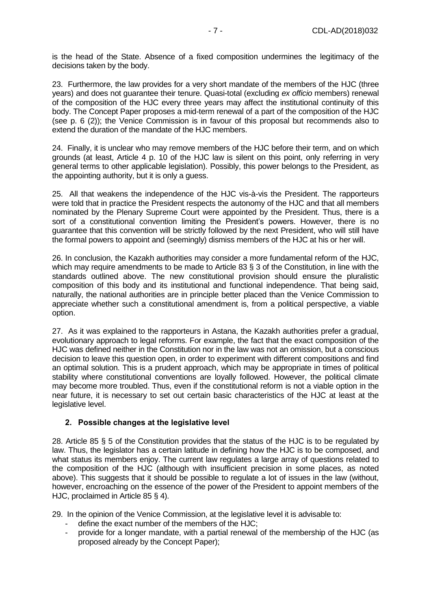is the head of the State. Absence of a fixed composition undermines the legitimacy of the decisions taken by the body.

23. Furthermore, the law provides for a very short mandate of the members of the HJC (three years) and does not guarantee their tenure. Quasi-total (excluding *ex officio* members) renewal of the composition of the HJC every three years may affect the institutional continuity of this body. The Concept Paper proposes a mid-term renewal of a part of the composition of the HJC (see p. 6 (2)); the Venice Commission is in favour of this proposal but recommends also to extend the duration of the mandate of the HJC members.

24. Finally, it is unclear who may remove members of the HJC before their term, and on which grounds (at least, Article 4 p. 10 of the HJC law is silent on this point, only referring in very general terms to other applicable legislation). Possibly, this power belongs to the President, as the appointing authority, but it is only a guess.

25. All that weakens the independence of the HJC vis-à-vis the President. The rapporteurs were told that in practice the President respects the autonomy of the HJC and that all members nominated by the Plenary Supreme Court were appointed by the President. Thus, there is a sort of a constitutional convention limiting the President's powers. However, there is no guarantee that this convention will be strictly followed by the next President, who will still have the formal powers to appoint and (seemingly) dismiss members of the HJC at his or her will.

26. In conclusion, the Kazakh authorities may consider a more fundamental reform of the HJC, which may require amendments to be made to Article 83 § 3 of the Constitution, in line with the standards outlined above. The new constitutional provision should ensure the pluralistic composition of this body and its institutional and functional independence. That being said, naturally, the national authorities are in principle better placed than the Venice Commission to appreciate whether such a constitutional amendment is, from a political perspective, a viable option.

27. As it was explained to the rapporteurs in Astana, the Kazakh authorities prefer a gradual, evolutionary approach to legal reforms. For example, the fact that the exact composition of the HJC was defined neither in the Constitution nor in the law was not an omission, but a conscious decision to leave this question open, in order to experiment with different compositions and find an optimal solution. This is a prudent approach, which may be appropriate in times of political stability where constitutional conventions are loyally followed. However, the political climate may become more troubled. Thus, even if the constitutional reform is not a viable option in the near future, it is necessary to set out certain basic characteristics of the HJC at least at the legislative level.

#### <span id="page-6-0"></span>**2. Possible changes at the legislative level**

28. Article 85 § 5 of the Constitution provides that the status of the HJC is to be regulated by law. Thus, the legislator has a certain latitude in defining how the HJC is to be composed, and what status its members enjoy. The current law regulates a large array of questions related to the composition of the HJC (although with insufficient precision in some places, as noted above). This suggests that it should be possible to regulate a lot of issues in the law (without, however, encroaching on the essence of the power of the President to appoint members of the HJC, proclaimed in Article 85 § 4).

29. In the opinion of the Venice Commission, at the legislative level it is advisable to:

- define the exact number of the members of the HJC:
- provide for a longer mandate, with a partial renewal of the membership of the HJC (as proposed already by the Concept Paper);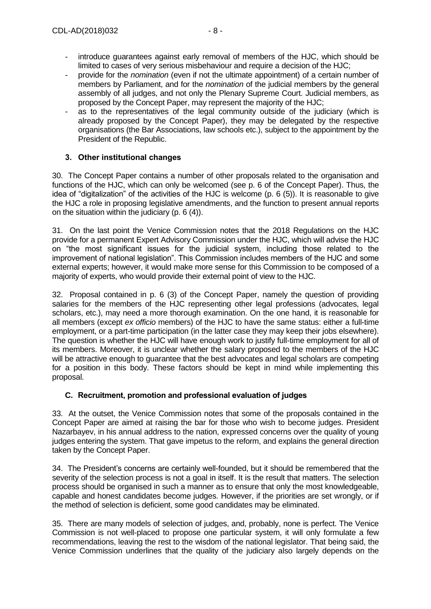- introduce guarantees against early removal of members of the HJC, which should be limited to cases of very serious misbehaviour and require a decision of the HJC;
- provide for the *nomination* (even if not the ultimate appointment) of a certain number of members by Parliament, and for the *nomination* of the judicial members by the general assembly of all judges, and not only the Plenary Supreme Court. Judicial members, as proposed by the Concept Paper, may represent the majority of the HJC;
- as to the representatives of the legal community outside of the judiciary (which is already proposed by the Concept Paper), they may be delegated by the respective organisations (the Bar Associations, law schools etc.), subject to the appointment by the President of the Republic.

## <span id="page-7-0"></span>**3. Other institutional changes**

30. The Concept Paper contains a number of other proposals related to the organisation and functions of the HJC, which can only be welcomed (see p. 6 of the Concept Paper). Thus, the idea of "digitalization" of the activities of the HJC is welcome (p. 6 (5)). It is reasonable to give the HJC a role in proposing legislative amendments, and the function to present annual reports on the situation within the judiciary (p. 6 (4)).

31. On the last point the Venice Commission notes that the 2018 Regulations on the HJC provide for a permanent Expert Advisory Commission under the HJC, which will advise the HJC on "the most significant issues for the judicial system, including those related to the improvement of national legislation". This Commission includes members of the HJC and some external experts; however, it would make more sense for this Commission to be composed of a majority of experts, who would provide their external point of view to the HJC.

32. Proposal contained in p. 6 (3) of the Concept Paper, namely the question of providing salaries for the members of the HJC representing other legal professions (advocates, legal scholars, etc.), may need a more thorough examination. On the one hand, it is reasonable for all members (except *ex officio* members) of the HJC to have the same status: either a full-time employment, or a part-time participation (in the latter case they may keep their jobs elsewhere). The question is whether the HJC will have enough work to justify full-time employment for all of its members. Moreover, it is unclear whether the salary proposed to the members of the HJC will be attractive enough to guarantee that the best advocates and legal scholars are competing for a position in this body. These factors should be kept in mind while implementing this proposal.

#### <span id="page-7-1"></span>**C. Recruitment, promotion and professional evaluation of judges**

33. At the outset, the Venice Commission notes that some of the proposals contained in the Concept Paper are aimed at raising the bar for those who wish to become judges. President Nazarbayev, in his annual address to the nation, expressed concerns over the quality of young judges entering the system. That gave impetus to the reform, and explains the general direction taken by the Concept Paper.

34. The President's concerns are certainly well-founded, but it should be remembered that the severity of the selection process is not a goal in itself. It is the result that matters. The selection process should be organised in such a manner as to ensure that only the most knowledgeable, capable and honest candidates become judges. However, if the priorities are set wrongly, or if the method of selection is deficient, some good candidates may be eliminated.

35. There are many models of selection of judges, and, probably, none is perfect. The Venice Commission is not well-placed to propose one particular system, it will only formulate a few recommendations, leaving the rest to the wisdom of the national legislator. That being said, the Venice Commission underlines that the quality of the judiciary also largely depends on the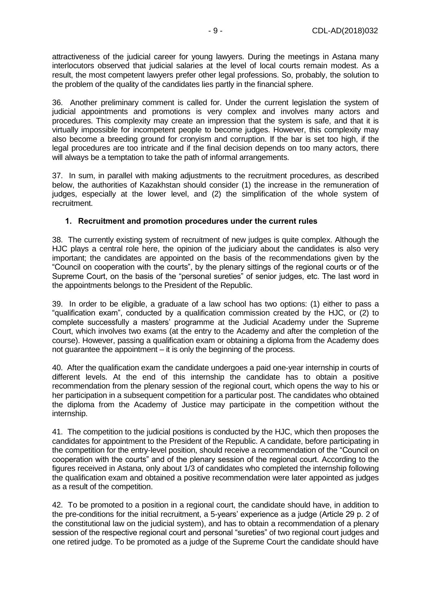attractiveness of the judicial career for young lawyers. During the meetings in Astana many interlocutors observed that judicial salaries at the level of local courts remain modest. As a result, the most competent lawyers prefer other legal professions. So, probably, the solution to the problem of the quality of the candidates lies partly in the financial sphere.

36. Another preliminary comment is called for. Under the current legislation the system of judicial appointments and promotions is very complex and involves many actors and procedures. This complexity may create an impression that the system is safe, and that it is virtually impossible for incompetent people to become judges. However, this complexity may also become a breeding ground for cronyism and corruption. If the bar is set too high, if the legal procedures are too intricate and if the final decision depends on too many actors, there will always be a temptation to take the path of informal arrangements.

37. In sum, in parallel with making adjustments to the recruitment procedures, as described below, the authorities of Kazakhstan should consider (1) the increase in the remuneration of judges, especially at the lower level, and (2) the simplification of the whole system of recruitment.

## <span id="page-8-0"></span>**1. Recruitment and promotion procedures under the current rules**

38. The currently existing system of recruitment of new judges is quite complex. Although the HJC plays a central role here, the opinion of the judiciary about the candidates is also very important; the candidates are appointed on the basis of the recommendations given by the "Council on cooperation with the courts", by the plenary sittings of the regional courts or of the Supreme Court, on the basis of the "personal sureties" of senior judges, etc. The last word in the appointments belongs to the President of the Republic.

39. In order to be eligible, a graduate of a law school has two options: (1) either to pass a "qualification exam", conducted by a qualification commission created by the HJC, or (2) to complete successfully a masters' programme at the Judicial Academy under the Supreme Court, which involves two exams (at the entry to the Academy and after the completion of the course). However, passing a qualification exam or obtaining a diploma from the Academy does not guarantee the appointment – it is only the beginning of the process.

40. After the qualification exam the candidate undergoes a paid one-year internship in courts of different levels. At the end of this internship the candidate has to obtain a positive recommendation from the plenary session of the regional court, which opens the way to his or her participation in a subsequent competition for a particular post. The candidates who obtained the diploma from the Academy of Justice may participate in the competition without the internship.

41. The competition to the judicial positions is conducted by the HJC, which then proposes the candidates for appointment to the President of the Republic. A candidate, before participating in the competition for the entry-level position, should receive a recommendation of the "Council on cooperation with the courts" and of the plenary session of the regional court. According to the figures received in Astana, only about 1/3 of candidates who completed the internship following the qualification exam and obtained a positive recommendation were later appointed as judges as a result of the competition.

42. To be promoted to a position in a regional court, the candidate should have, in addition to the pre-conditions for the initial recruitment, a 5-years' experience as a judge (Article 29 p. 2 of the constitutional law on the judicial system), and has to obtain a recommendation of a plenary session of the respective regional court and personal "sureties" of two regional court judges and one retired judge. To be promoted as a judge of the Supreme Court the candidate should have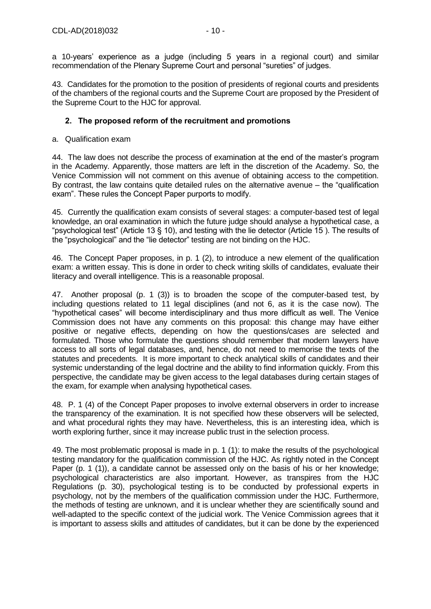a 10-years' experience as a judge (including 5 years in a regional court) and similar recommendation of the Plenary Supreme Court and personal "sureties" of judges.

43. Candidates for the promotion to the position of presidents of regional courts and presidents of the chambers of the regional courts and the Supreme Court are proposed by the President of the Supreme Court to the HJC for approval.

#### <span id="page-9-0"></span>**2. The proposed reform of the recruitment and promotions**

a. Qualification exam

44. The law does not describe the process of examination at the end of the master's program in the Academy. Apparently, those matters are left in the discretion of the Academy. So, the Venice Commission will not comment on this avenue of obtaining access to the competition. By contrast, the law contains quite detailed rules on the alternative avenue – the "qualification exam". These rules the Concept Paper purports to modify.

45. Currently the qualification exam consists of several stages: a computer-based test of legal knowledge, an oral examination in which the future judge should analyse a hypothetical case, a "psychological test" (Article 13 § 10), and testing with the lie detector (Article 15 ). The results of the "psychological" and the "lie detector" testing are not binding on the HJC.

46. The Concept Paper proposes, in p. 1 (2), to introduce a new element of the qualification exam: a written essay. This is done in order to check writing skills of candidates, evaluate their literacy and overall intelligence. This is a reasonable proposal.

47. Another proposal (p. 1 (3)) is to broaden the scope of the computer-based test, by including questions related to 11 legal disciplines (and not 6, as it is the case now). The "hypothetical cases" will become interdisciplinary and thus more difficult as well. The Venice Commission does not have any comments on this proposal: this change may have either positive or negative effects, depending on how the questions/cases are selected and formulated. Those who formulate the questions should remember that modern lawyers have access to all sorts of legal databases, and, hence, do not need to memorise the texts of the statutes and precedents. It is more important to check analytical skills of candidates and their systemic understanding of the legal doctrine and the ability to find information quickly. From this perspective, the candidate may be given access to the legal databases during certain stages of the exam, for example when analysing hypothetical cases.

48. P. 1 (4) of the Concept Paper proposes to involve external observers in order to increase the transparency of the examination. It is not specified how these observers will be selected, and what procedural rights they may have. Nevertheless, this is an interesting idea, which is worth exploring further, since it may increase public trust in the selection process.

49. The most problematic proposal is made in p. 1 (1): to make the results of the psychological testing mandatory for the qualification commission of the HJC. As rightly noted in the Concept Paper (p. 1 (1)), a candidate cannot be assessed only on the basis of his or her knowledge; psychological characteristics are also important. However, as transpires from the HJC Regulations (p. 30), psychological testing is to be conducted by professional experts in psychology, not by the members of the qualification commission under the HJC. Furthermore, the methods of testing are unknown, and it is unclear whether they are scientifically sound and well-adapted to the specific context of the judicial work. The Venice Commission agrees that it is important to assess skills and attitudes of candidates, but it can be done by the experienced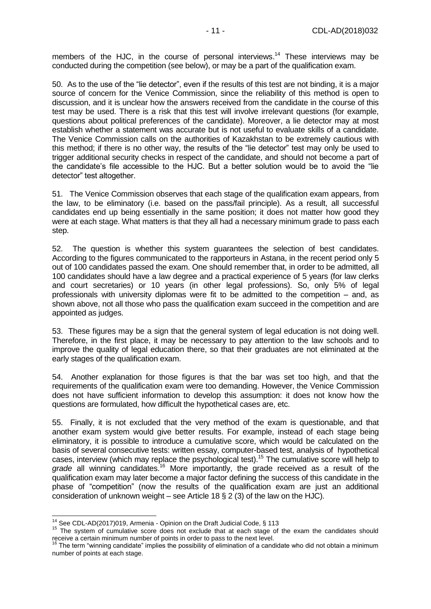members of the HJC, in the course of personal interviews.<sup>14</sup> These interviews may be conducted during the competition (see below), or may be a part of the qualification exam.

50. As to the use of the "lie detector", even if the results of this test are not binding, it is a major source of concern for the Venice Commission, since the reliability of this method is open to discussion, and it is unclear how the answers received from the candidate in the course of this test may be used. There is a risk that this test will involve irrelevant questions (for example, questions about political preferences of the candidate). Moreover, a lie detector may at most establish whether a statement was accurate but is not useful to evaluate skills of a candidate. The Venice Commission calls on the authorities of Kazakhstan to be extremely cautious with this method; if there is no other way, the results of the "lie detector" test may only be used to trigger additional security checks in respect of the candidate, and should not become a part of the candidate's file accessible to the HJC. But a better solution would be to avoid the "lie detector" test altogether.

51. The Venice Commission observes that each stage of the qualification exam appears, from the law, to be eliminatory (i.e. based on the pass/fail principle). As a result, all successful candidates end up being essentially in the same position; it does not matter how good they were at each stage. What matters is that they all had a necessary minimum grade to pass each step.

52. The question is whether this system guarantees the selection of best candidates. According to the figures communicated to the rapporteurs in Astana, in the recent period only 5 out of 100 candidates passed the exam. One should remember that, in order to be admitted, all 100 candidates should have a law degree and a practical experience of 5 years (for law clerks and court secretaries) or 10 years (in other legal professions). So, only 5% of legal professionals with university diplomas were fit to be admitted to the competition – and, as shown above, not all those who pass the qualification exam succeed in the competition and are appointed as judges.

53. These figures may be a sign that the general system of legal education is not doing well. Therefore, in the first place, it may be necessary to pay attention to the law schools and to improve the quality of legal education there, so that their graduates are not eliminated at the early stages of the qualification exam.

54. Another explanation for those figures is that the bar was set too high, and that the requirements of the qualification exam were too demanding. However, the Venice Commission does not have sufficient information to develop this assumption: it does not know how the questions are formulated, how difficult the hypothetical cases are, etc.

55. Finally, it is not excluded that the very method of the exam is questionable, and that another exam system would give better results. For example, instead of each stage being eliminatory, it is possible to introduce a cumulative score, which would be calculated on the basis of several consecutive tests: written essay, computer-based test, analysis of hypothetical cases, interview (which may replace the psychological test).<sup>15</sup> The cumulative score will help to *grade* all winning candidates. <sup>16</sup> More importantly, the grade received as a result of the qualification exam may later become a major factor defining the success of this candidate in the phase of "competition" (now the results of the qualification exam are just an additional consideration of unknown weight – see Article 18 § 2 (3) of the law on the HJC).

 $\overline{1}$ 

<sup>&</sup>lt;sup>14</sup> See CDL-AD(2017)019, Armenia - Opinion on the Draft Judicial Code, § 113

<sup>15</sup> The system of cumulative score does not exclude that at each stage of the exam the candidates should receive a certain minimum number of points in order to pass to the next level.

 $16$  The term "winning candidate" implies the possibility of elimination of a candidate who did not obtain a minimum number of points at each stage.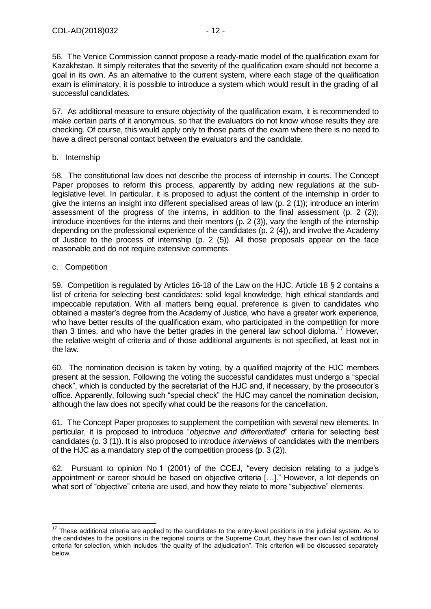56. The Venice Commission cannot propose a ready-made model of the qualification exam for Kazakhstan. It simply reiterates that the severity of the qualification exam should not become a goal in its own. As an alternative to the current system, where each stage of the qualification exam is eliminatory, it is possible to introduce a system which would result in the grading of all successful candidates.

57. As additional measure to ensure objectivity of the qualification exam, it is recommended to make certain parts of it anonymous, so that the evaluators do not know whose results they are checking. Of course, this would apply only to those parts of the exam where there is no need to have a direct personal contact between the evaluators and the candidate.

#### b. Internship

58. The constitutional law does not describe the process of internship in courts. The Concept Paper proposes to reform this process, apparently by adding new regulations at the sublegislative level. In particular, it is proposed to adjust the content of the internship in order to give the interns an insight into different specialised areas of law (p. 2 (1)); introduce an interim assessment of the progress of the interns, in addition to the final assessment (p. 2 (2)); introduce incentives for the interns and their mentors (p. 2 (3)), vary the length of the internship depending on the professional experience of the candidates (p. 2 (4)), and involve the Academy of Justice to the process of internship (p. 2 (5)). All those proposals appear on the face reasonable and do not require extensive comments.

#### c. Competition

-

59. Competition is regulated by Articles 16-18 of the Law on the HJC. Article 18 § 2 contains a list of criteria for selecting best candidates: solid legal knowledge, high ethical standards and impeccable reputation. With all matters being equal, preference is given to candidates who obtained a master's degree from the Academy of Justice, who have a greater work experience, who have better results of the qualification exam, who participated in the competition for more than 3 times, and who have the better grades in the general law school diploma.<sup>17</sup> However, the relative weight of criteria and of those additional arguments is not specified, at least not in the law.

60. The nomination decision is taken by voting, by a qualified majority of the HJC members present at the session. Following the voting the successful candidates must undergo a "special check", which is conducted by the secretariat of the HJC and, if necessary, by the prosecutor's office. Apparently, following such "special check" the HJC may cancel the nomination decision, although the law does not specify what could be the reasons for the cancellation.

61. The Concept Paper proposes to supplement the competition with several new elements. In particular, it is proposed to introduce "*objective and differentiated*" criteria for selecting best candidates (p. 3 (1)). It is also proposed to introduce *interviews* of candidates with the members of the HJC as a mandatory step of the competition process (p. 3 (2)).

62. Pursuant to opinion No 1 (2001) of the CCEJ, "every decision relating to a judge's appointment or career should be based on objective criteria […]." However, a lot depends on what sort of "objective" criteria are used, and how they relate to more "subjective" elements.

 $17$  These additional criteria are applied to the candidates to the entry-level positions in the judicial system. As to the candidates to the positions in the regional courts or the Supreme Court, they have their own list of additional criteria for selection, which includes "the quality of the adjudication". This criterion will be discussed separately below.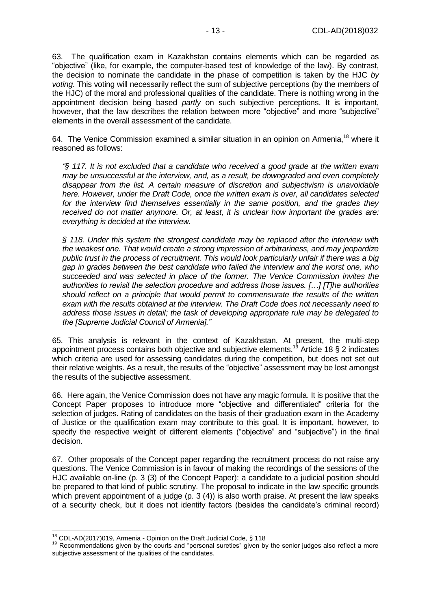63. The qualification exam in Kazakhstan contains elements which can be regarded as "objective" (like, for example, the computer-based test of knowledge of the law). By contrast, the decision to nominate the candidate in the phase of competition is taken by the HJC *by voting*. This voting will necessarily reflect the sum of subjective perceptions (by the members of the HJC) of the moral and professional qualities of the candidate. There is nothing wrong in the appointment decision being based *partly* on such subjective perceptions. It is important, however, that the law describes the relation between more "objective" and more "subjective" elements in the overall assessment of the candidate.

64. The Venice Commission examined a similar situation in an opinion on Armenia,<sup>18</sup> where it reasoned as follows:

*"§ 117. It is not excluded that a candidate who received a good grade at the written exam may be unsuccessful at the interview, and, as a result, be downgraded and even completely disappear from the list. A certain measure of discretion and subjectivism is unavoidable here. However, under the Draft Code, once the written exam is over, all candidates selected for the interview find themselves essentially in the same position, and the grades they received do not matter anymore. Or, at least, it is unclear how important the grades are: everything is decided at the interview.* 

*§ 118. Under this system the strongest candidate may be replaced after the interview with the weakest one. That would create a strong impression of arbitrariness, and may jeopardize public trust in the process of recruitment. This would look particularly unfair if there was a big gap in grades between the best candidate who failed the interview and the worst one, who succeeded and was selected in place of the former. The Venice Commission invites the authorities to revisit the selection procedure and address those issues. […] [T]he authorities should reflect on a principle that would permit to commensurate the results of the written exam with the results obtained at the interview. The Draft Code does not necessarily need to address those issues in detail; the task of developing appropriate rule may be delegated to the [Supreme Judicial Council of Armenia]."* 

65. This analysis is relevant in the context of Kazakhstan. At present, the multi-step appointment process contains both objective and subjective elements.<sup>19</sup> Article 18 § 2 indicates which criteria are used for assessing candidates during the competition, but does not set out their relative weights. As a result, the results of the "objective" assessment may be lost amongst the results of the subjective assessment.

66. Here again, the Venice Commission does not have any magic formula. It is positive that the Concept Paper proposes to introduce more "objective and differentiated" criteria for the selection of judges. Rating of candidates on the basis of their graduation exam in the Academy of Justice or the qualification exam may contribute to this goal. It is important, however, to specify the respective weight of different elements ("objective" and "subjective") in the final decision.

67. Other proposals of the Concept paper regarding the recruitment process do not raise any questions. The Venice Commission is in favour of making the recordings of the sessions of the HJC available on-line (p. 3 (3) of the Concept Paper): a candidate to a judicial position should be prepared to that kind of public scrutiny. The proposal to indicate in the law specific grounds which prevent appointment of a judge (p. 3 (4)) is also worth praise. At present the law speaks of a security check, but it does not identify factors (besides the candidate's criminal record)

-

<sup>&</sup>lt;sup>18</sup> CDL-AD(2017)019, Armenia - Opinion on the Draft Judicial Code, § 118

<sup>&</sup>lt;sup>19</sup> Recommendations given by the courts and "personal sureties" given by the senior judges also reflect a more subjective assessment of the qualities of the candidates.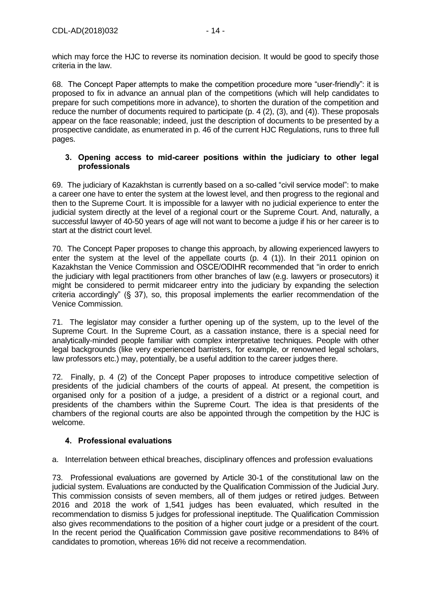which may force the HJC to reverse its nomination decision. It would be good to specify those criteria in the law.

68. The Concept Paper attempts to make the competition procedure more "user-friendly": it is proposed to fix in advance an annual plan of the competitions (which will help candidates to prepare for such competitions more in advance), to shorten the duration of the competition and reduce the number of documents required to participate (p. 4 (2), (3), and (4)). These proposals appear on the face reasonable; indeed, just the description of documents to be presented by a prospective candidate, as enumerated in p. 46 of the current HJC Regulations, runs to three full pages.

#### <span id="page-13-0"></span>**3. Opening access to mid-career positions within the judiciary to other legal professionals**

69. The judiciary of Kazakhstan is currently based on a so-called "civil service model": to make a career one have to enter the system at the lowest level, and then progress to the regional and then to the Supreme Court. It is impossible for a lawyer with no judicial experience to enter the judicial system directly at the level of a regional court or the Supreme Court. And, naturally, a successful lawyer of 40-50 years of age will not want to become a judge if his or her career is to start at the district court level.

70. The Concept Paper proposes to change this approach, by allowing experienced lawyers to enter the system at the level of the appellate courts (p. 4 (1)). In their 2011 opinion on Kazakhstan the Venice Commission and OSCE/ODIHR recommended that "in order to enrich the judiciary with legal practitioners from other branches of law (e.g. lawyers or prosecutors) it might be considered to permit midcareer entry into the judiciary by expanding the selection criteria accordingly" (§ 37), so, this proposal implements the earlier recommendation of the Venice Commission.

71. The legislator may consider a further opening up of the system, up to the level of the Supreme Court. In the Supreme Court, as a cassation instance, there is a special need for analytically-minded people familiar with complex interpretative techniques. People with other legal backgrounds (like very experienced barristers, for example, or renowned legal scholars, law professors etc.) may, potentially, be a useful addition to the career judges there.

72. Finally, p. 4 (2) of the Concept Paper proposes to introduce competitive selection of presidents of the judicial chambers of the courts of appeal. At present, the competition is organised only for a position of a judge, a president of a district or a regional court, and presidents of the chambers within the Supreme Court. The idea is that presidents of the chambers of the regional courts are also be appointed through the competition by the HJC is welcome.

## <span id="page-13-1"></span>**4. Professional evaluations**

a. Interrelation between ethical breaches, disciplinary offences and profession evaluations

73. Professional evaluations are governed by Article 30-1 of the constitutional law on the judicial system. Evaluations are conducted by the Qualification Commission of the Judicial Jury. This commission consists of seven members, all of them judges or retired judges. Between 2016 and 2018 the work of 1,541 judges has been evaluated, which resulted in the recommendation to dismiss 5 judges for professional ineptitude. The Qualification Commission also gives recommendations to the position of a higher court judge or a president of the court. In the recent period the Qualification Commission gave positive recommendations to 84% of candidates to promotion, whereas 16% did not receive a recommendation.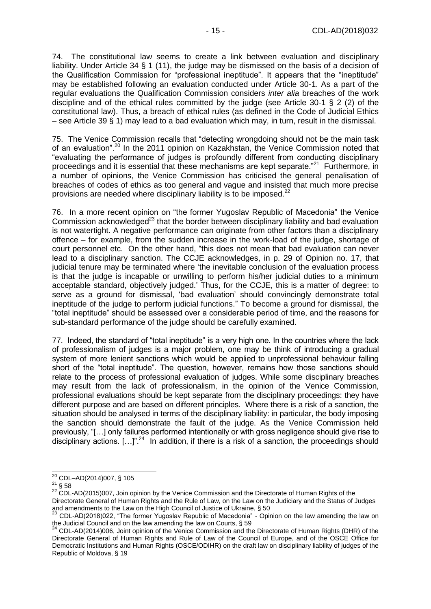74. The constitutional law seems to create a link between evaluation and disciplinary liability. Under Article 34 § 1 (11), the judge may be dismissed on the basis of a decision of the Qualification Commission for "professional ineptitude". It appears that the "ineptitude" may be established following an evaluation conducted under Article 30-1. As a part of the regular evaluations the Qualification Commission considers *inter alia* breaches of the work discipline and of the ethical rules committed by the judge (see Article 30-1 § 2 (2) of the constitutional law). Thus, a breach of ethical rules (as defined in the Code of Judicial Ethics – see Article 39 § 1) may lead to a bad evaluation which may, in turn, result in the dismissal.

75. The Venice Commission recalls that "detecting wrongdoing should not be the main task of an evaluation".<sup>20</sup> In the 2011 opinion on Kazakhstan, the Venice Commission noted that "evaluating the performance of judges is profoundly different from conducting disciplinary proceedings and it is essential that these mechanisms are kept separate."<sup>21</sup> Furthermore, in a number of opinions, the Venice Commission has criticised the general penalisation of breaches of codes of ethics as too general and vague and insisted that much more precise provisions are needed where disciplinary liability is to be imposed.<sup>22</sup>

76. In a more recent opinion on "the former Yugoslav Republic of Macedonia" the Venice Commission acknowledged<sup>23</sup> that the border between disciplinary liability and bad evaluation is not watertight. A negative performance can originate from other factors than a disciplinary offence – for example, from the sudden increase in the work-load of the judge, shortage of court personnel etc. On the other hand, "this does not mean that bad evaluation can never lead to a disciplinary sanction. The CCJE acknowledges, in p. 29 of Opinion no. 17, that judicial tenure may be terminated where 'the inevitable conclusion of the evaluation process is that the judge is incapable or unwilling to perform his/her judicial duties to a minimum acceptable standard, objectively judged.' Thus, for the CCJE, this is a matter of degree: to serve as a ground for dismissal, 'bad evaluation' should convincingly demonstrate total ineptitude of the judge to perform judicial functions." To become a ground for dismissal, the "total ineptitude" should be assessed over a considerable period of time, and the reasons for sub-standard performance of the judge should be carefully examined.

77. Indeed, the standard of "total ineptitude" is a very high one. In the countries where the lack of professionalism of judges is a major problem, one may be think of introducing a gradual system of more lenient sanctions which would be applied to unprofessional behaviour falling short of the "total ineptitude". The question, however, remains how those sanctions should relate to the process of professional evaluation of judges. While some disciplinary breaches may result from the lack of professionalism, in the opinion of the Venice Commission, professional evaluations should be kept separate from the disciplinary proceedings: they have different purpose and are based on different principles. Where there is a risk of a sanction, the situation should be analysed in terms of the disciplinary liability: in particular, the body imposing the sanction should demonstrate the fault of the judge. As the Venice Commission held previously, "[…] only failures performed intentionally or with gross negligence should give rise to disciplinary actions.  $[...]^{n^2}$  In addition, if there is a risk of a sanction, the proceedings should

<sup>-</sup> $20$  CDL–AD(2014)007, § 105

 $^{21}$  § 58

<sup>&</sup>lt;sup>22</sup> CDL-AD(2015)007, Join opinion by the Venice Commission and the Directorate of Human Rights of the Directorate General of Human Rights and the Rule of Law, on the Law on the Judiciary and the Status of Judges and amendments to the Law on the High Council of Justice of Ukraine, § 50<br>
<sup>23</sup> CDL AD(2018)022. **"The first of Law** on the High Council of Justice of Ukraine, § 50

<sup>23</sup> CDL-AD(2018)022, "The former Yugoslav Republic of Macedonia" - Opinion on the law amending the law on the Judicial Council and on the law amending the law on Courts, § 59

<sup>&</sup>lt;sup>24</sup> CDL-AD(2014)006, Joint opinion of the Venice Commission and the Directorate of Human Rights (DHR) of the Directorate General of Human Rights and Rule of Law of the Council of Europe, and of the OSCE Office for Democratic Institutions and Human Rights (OSCE/ODIHR) on the draft law on disciplinary liability of judges of the Republic of Moldova, § 19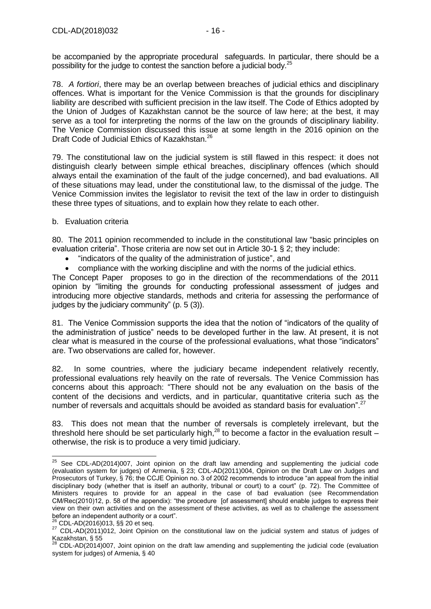be accompanied by the appropriate procedural safeguards. In particular, there should be a possibility for the judge to contest the sanction before a judicial body.<sup>25</sup>

78. *A fortiori*, there may be an overlap between breaches of judicial ethics and disciplinary offences. What is important for the Venice Commission is that the grounds for disciplinary liability are described with sufficient precision in the law itself. The Code of Ethics adopted by the Union of Judges of Kazakhstan cannot be the source of law here; at the best, it may serve as a tool for interpreting the norms of the law on the grounds of disciplinary liability. The Venice Commission discussed this issue at some length in the 2016 opinion on the Draft Code of Judicial Ethics of Kazakhstan.<sup>26</sup>

79. The constitutional law on the judicial system is still flawed in this respect: it does not distinguish clearly between simple ethical breaches, disciplinary offences (which should always entail the examination of the fault of the judge concerned), and bad evaluations. All of these situations may lead, under the constitutional law, to the dismissal of the judge. The Venice Commission invites the legislator to revisit the text of the law in order to distinguish these three types of situations, and to explain how they relate to each other.

#### b. Evaluation criteria

80. The 2011 opinion recommended to include in the constitutional law "basic principles on evaluation criteria". Those criteria are now set out in Article 30-1 § 2; they include:

- "indicators of the quality of the administration of justice", and
- compliance with the working discipline and with the norms of the judicial ethics.

The Concept Paper proposes to go in the direction of the recommendations of the 2011 opinion by "limiting the grounds for conducting professional assessment of judges and introducing more objective standards, methods and criteria for assessing the performance of judges by the judiciary community" (p. 5 (3)).

81. The Venice Commission supports the idea that the notion of "indicators of the quality of the administration of justice" needs to be developed further in the law. At present, it is not clear what is measured in the course of the professional evaluations, what those "indicators" are. Two observations are called for, however.

82. In some countries, where the judiciary became independent relatively recently, professional evaluations rely heavily on the rate of reversals. The Venice Commission has concerns about this approach: "There should not be any evaluation on the basis of the content of the decisions and verdicts, and in particular, quantitative criteria such as the number of reversals and acquittals should be avoided as standard basis for evaluation".<sup>27</sup>

83. This does not mean that the number of reversals is completely irrelevant, but the threshold here should be set particularly high.<sup>28</sup> to become a factor in the evaluation result – otherwise, the risk is to produce a very timid judiciary.

-

 $25$  See CDL-AD(2014)007, Joint opinion on the draft law amending and supplementing the judicial code (evaluation system for judges) of Armenia, § 23; CDL-AD(2011)004, Opinion on the Draft Law on Judges and Prosecutors of Turkey, § 76; the CCJE Opinion no. 3 of 2002 recommends to introduce "an appeal from the initial disciplinary body (whether that is itself an authority, tribunal or court) to a court" (p. 72). The Committee of Ministers requires to provide for an appeal in the case of bad evaluation (see Recommendation CM/Rec(2010)12, p. 58 of the appendix): "the procedure [of assessment] should enable judges to express their view on their own activities and on the assessment of these activities, as well as to challenge the assessment before an independent authority or a court".

 $26$  CDL-AD(2016)013, §§ 20 et seq.

<sup>27</sup> CDL-AD(2011)012, Joint Opinion on the constitutional law on the judicial system and status of judges of Kazakhstan, § 55

<sup>28</sup> CDL-AD(2014)007, Joint opinion on the draft law amending and supplementing the judicial code (evaluation system for judges) of Armenia, § 40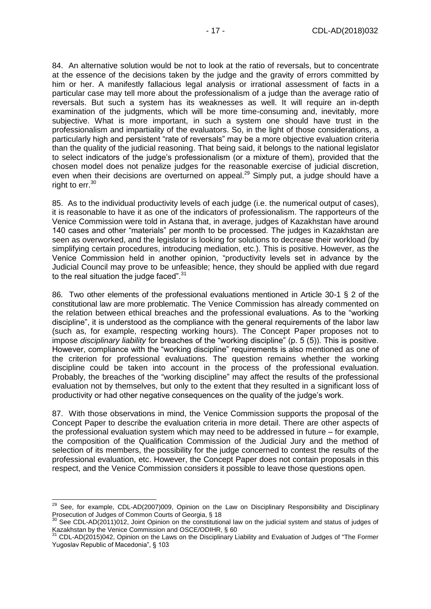84. An alternative solution would be not to look at the ratio of reversals, but to concentrate at the essence of the decisions taken by the judge and the gravity of errors committed by him or her. A manifestly fallacious legal analysis or irrational assessment of facts in a particular case may tell more about the professionalism of a judge than the average ratio of reversals. But such a system has its weaknesses as well. It will require an in-depth examination of the judgments, which will be more time-consuming and, inevitably, more subjective. What is more important, in such a system one should have trust in the professionalism and impartiality of the evaluators. So, in the light of those considerations, a particularly high and persistent "rate of reversals" may be a more objective evaluation criteria than the quality of the judicial reasoning. That being said, it belongs to the national legislator to select indicators of the judge's professionalism (or a mixture of them), provided that the chosen model does not penalize judges for the reasonable exercise of judicial discretion, even when their decisions are overturned on appeal.<sup>29</sup> Simply put, a judge should have a right to  $err.^{30}$ 

85. As to the individual productivity levels of each judge (i.e. the numerical output of cases), it is reasonable to have it as one of the indicators of professionalism. The rapporteurs of the Venice Commission were told in Astana that, in average, judges of Kazakhstan have around 140 cases and other "materials" per month to be processed. The judges in Kazakhstan are seen as overworked, and the legislator is looking for solutions to decrease their workload (by simplifying certain procedures, introducing mediation, etc.). This is positive. However, as the Venice Commission held in another opinion, "productivity levels set in advance by the Judicial Council may prove to be unfeasible; hence, they should be applied with due regard to the real situation the judge faced".<sup>31</sup>

86. Two other elements of the professional evaluations mentioned in Article 30-1 § 2 of the constitutional law are more problematic. The Venice Commission has already commented on the relation between ethical breaches and the professional evaluations. As to the "working discipline", it is understood as the compliance with the general requirements of the labor law (such as, for example, respecting working hours). The Concept Paper proposes not to impose *disciplinary liability* for breaches of the "working discipline" (p. 5 (5)). This is positive. However, compliance with the "working discipline" requirements is also mentioned as one of the criterion for professional evaluations. The question remains whether the working discipline could be taken into account in the process of the professional evaluation. Probably, the breaches of the "working discipline" may affect the results of the professional evaluation not by themselves, but only to the extent that they resulted in a significant loss of productivity or had other negative consequences on the quality of the judge's work.

87. With those observations in mind, the Venice Commission supports the proposal of the Concept Paper to describe the evaluation criteria in more detail. There are other aspects of the professional evaluation system which may need to be addressed in future – for example, the composition of the Qualification Commission of the Judicial Jury and the method of selection of its members, the possibility for the judge concerned to contest the results of the professional evaluation, etc. However, the Concept Paper does not contain proposals in this respect, and the Venice Commission considers it possible to leave those questions open.

-

<sup>&</sup>lt;sup>29</sup> See, for example, CDL-AD(2007)009, Opinion on the Law on Disciplinary Responsibility and Disciplinary Prosecution of Judges of Common Courts of Georgia, § 18

 $30$  See CDL-AD(2011)012, Joint Opinion on the constitutional law on the judicial system and status of judges of Kazakhstan by the Venice Commission and OSCE/ODIHR, § 60

 $31$  CDL-AD(2015)042, Opinion on the Laws on the Disciplinary Liability and Evaluation of Judges of "The Former Yugoslav Republic of Macedonia", § 103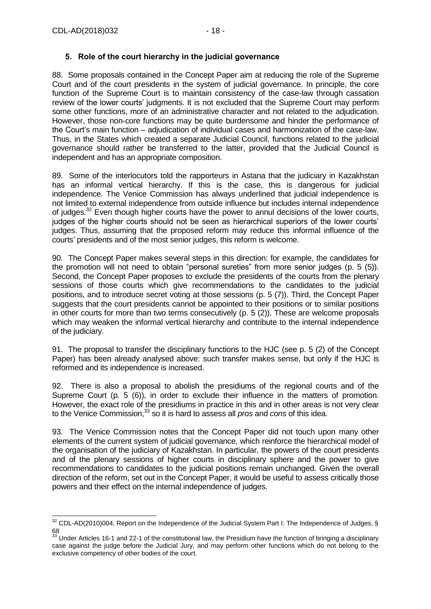## <span id="page-17-0"></span>**5. Role of the court hierarchy in the judicial governance**

88. Some proposals contained in the Concept Paper aim at reducing the role of the Supreme Court and of the court presidents in the system of judicial governance. In principle, the core function of the Supreme Court is to maintain consistency of the case-law through cassation review of the lower courts' judgments. It is not excluded that the Supreme Court may perform some other functions, more of an administrative character and not related to the adjudication. However, those non-core functions may be quite burdensome and hinder the performance of the Court's main function – adjudication of individual cases and harmonization of the case-law. Thus, in the States which created a separate Judicial Council, functions related to the judicial governance should rather be transferred to the latter, provided that the Judicial Council is independent and has an appropriate composition.

89. Some of the interlocutors told the rapporteurs in Astana that the judiciary in Kazakhstan has an informal vertical hierarchy. If this is the case, this is dangerous for judicial independence. The Venice Commission has always underlined that judicial independence is not limited to external independence from outside influence but includes internal independence of judges.<sup>32</sup> Even though higher courts have the power to annul decisions of the lower courts, judges of the higher courts should not be seen as hierarchical superiors of the lower courts' judges. Thus, assuming that the proposed reform may reduce this informal influence of the courts' presidents and of the most senior judges, this reform is welcome.

90. The Concept Paper makes several steps in this direction: for example, the candidates for the promotion will not need to obtain "personal sureties" from more senior judges (p. 5 (5)). Second, the Concept Paper proposes to exclude the presidents of the courts from the plenary sessions of those courts which give recommendations to the candidates to the judicial positions, and to introduce secret voting at those sessions (p. 5 (7)). Third, the Concept Paper suggests that the court presidents cannot be appointed to their positions or to similar positions in other courts for more than two terms consecutively (p. 5 (2)). These are welcome proposals which may weaken the informal vertical hierarchy and contribute to the internal independence of the judiciary.

91. The proposal to transfer the disciplinary functions to the HJC (see p. 5 (2) of the Concept Paper) has been already analysed above: such transfer makes sense, but only if the HJC is reformed and its independence is increased.

92. There is also a proposal to abolish the presidiums of the regional courts and of the Supreme Court (p. 5 (6)), in order to exclude their influence in the matters of promotion. However, the exact role of the presidiums in practice in this and in other areas is not very clear to the Venice Commission,<sup>33</sup> so it is hard to assess all *pros* and *cons* of this idea.

93. The Venice Commission notes that the Concept Paper did not touch upon many other elements of the current system of judicial governance, which reinforce the hierarchical model of the organisation of the judiciary of Kazakhstan. In particular, the powers of the court presidents and of the plenary sessions of higher courts in disciplinary sphere and the power to give recommendations to candidates to the judicial positions remain unchanged. Given the overall direction of the reform, set out in the Concept Paper, it would be useful to assess critically those powers and their effect on the internal independence of judges.

 $\overline{a}$  $32$  CDL-AD(2010)004, Report on the Independence of the Judicial System Part I: The Independence of Judges, § 68

 $33$  Under Articles 16-1 and 22-1 of the constitutional law, the Presidium have the function of bringing a disciplinary case against the judge before the Judicial Jury, and may perform other functions which do not belong to the exclusive competency of other bodies of the court.